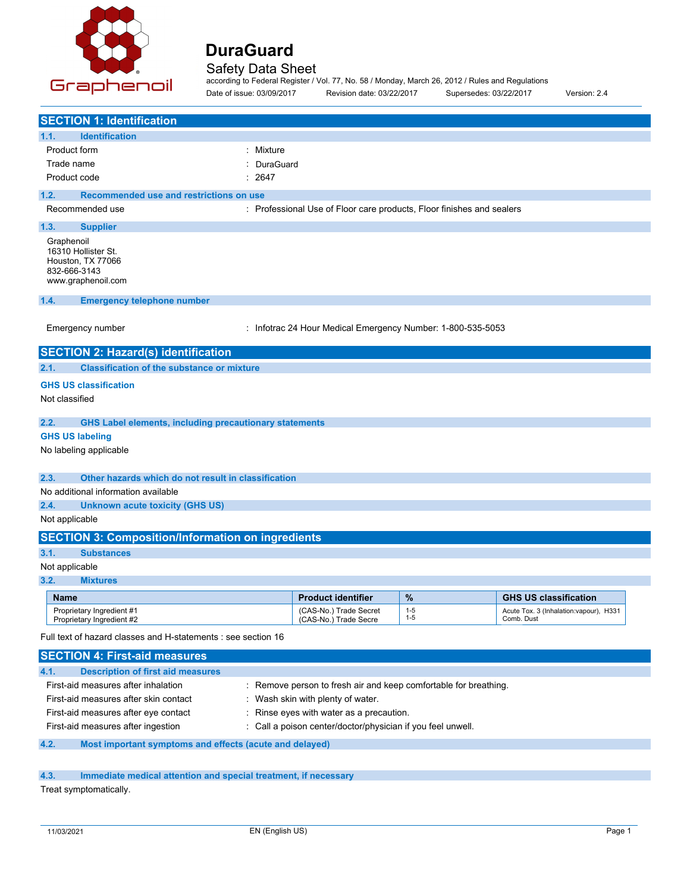

Safety Data Sheet according to Federal Register / Vol. 77, No. 58 / Monday, March 26, 2012 / Rules and Regulations Date of issue: 03/09/2017 Revision date: 03/22/2017 Supersedes: 03/22/2017 Version: 2.4

| <b>SECTION 1: Identification</b>                                                                |                                                                       |                    |                                                       |
|-------------------------------------------------------------------------------------------------|-----------------------------------------------------------------------|--------------------|-------------------------------------------------------|
| 1.1.<br><b>Identification</b>                                                                   |                                                                       |                    |                                                       |
| Product form<br>: Mixture                                                                       |                                                                       |                    |                                                       |
| Trade name<br>DuraGuard                                                                         |                                                                       |                    |                                                       |
| Product code<br>2647                                                                            |                                                                       |                    |                                                       |
| 1.2.<br>Recommended use and restrictions on use                                                 |                                                                       |                    |                                                       |
| Recommended use                                                                                 | : Professional Use of Floor care products, Floor finishes and sealers |                    |                                                       |
| 1.3.<br><b>Supplier</b>                                                                         |                                                                       |                    |                                                       |
| Graphenoil<br>16310 Hollister St.<br>Houston, TX 77066<br>832-666-3143<br>www.graphenoil.com    |                                                                       |                    |                                                       |
| 1.4.<br><b>Emergency telephone number</b>                                                       |                                                                       |                    |                                                       |
| Emergency number                                                                                | : Infotrac 24 Hour Medical Emergency Number: 1-800-535-5053           |                    |                                                       |
| <b>SECTION 2: Hazard(s) identification</b>                                                      |                                                                       |                    |                                                       |
| <b>Classification of the substance or mixture</b><br>2.1.                                       |                                                                       |                    |                                                       |
| <b>GHS US classification</b>                                                                    |                                                                       |                    |                                                       |
| Not classified                                                                                  |                                                                       |                    |                                                       |
| 2.2.<br><b>GHS Label elements, including precautionary statements</b>                           |                                                                       |                    |                                                       |
| <b>GHS US labeling</b>                                                                          |                                                                       |                    |                                                       |
| No labeling applicable                                                                          |                                                                       |                    |                                                       |
| 2.3.<br>Other hazards which do not result in classification                                     |                                                                       |                    |                                                       |
| No additional information available                                                             |                                                                       |                    |                                                       |
| 2.4.<br><b>Unknown acute toxicity (GHS US)</b>                                                  |                                                                       |                    |                                                       |
| Not applicable                                                                                  |                                                                       |                    |                                                       |
| <b>SECTION 3: Composition/Information on ingredients</b>                                        |                                                                       |                    |                                                       |
| 3.1.<br><b>Substances</b>                                                                       |                                                                       |                    |                                                       |
| Not applicable                                                                                  |                                                                       |                    |                                                       |
| 3.2.<br><b>Mixtures</b>                                                                         |                                                                       |                    |                                                       |
| <b>Name</b>                                                                                     | <b>Product identifier</b>                                             | %                  | <b>GHS US classification</b>                          |
| Proprietary Ingredient #1<br>Proprietary Ingredient #2                                          | (CAS-No.) Trade Secret<br>(CAS-No.) Trade Secre                       | $1 - 5$<br>$1 - 5$ | Acute Tox. 3 (Inhalation: vapour), H331<br>Comb. Dust |
| Full text of hazard classes and H-statements : see section 16                                   |                                                                       |                    |                                                       |
| <b>SECTION 4: First-aid measures</b>                                                            |                                                                       |                    |                                                       |
| <b>Description of first aid measures</b><br>4.1.                                                |                                                                       |                    |                                                       |
| First-aid measures after inhalation                                                             | : Remove person to fresh air and keep comfortable for breathing.      |                    |                                                       |
| First-aid measures after skin contact<br>Wash skin with plenty of water.<br>t.                  |                                                                       |                    |                                                       |
| First-aid measures after eye contact                                                            | Rinse eyes with water as a precaution.                                |                    |                                                       |
| First-aid measures after ingestion<br>Call a poison center/doctor/physician if you feel unwell. |                                                                       |                    |                                                       |

### **4.2. Most important symptoms and effects (acute and delayed)**

### **4.3. Immediate medical attention and special treatment, if necessary**

Treat symptomatically.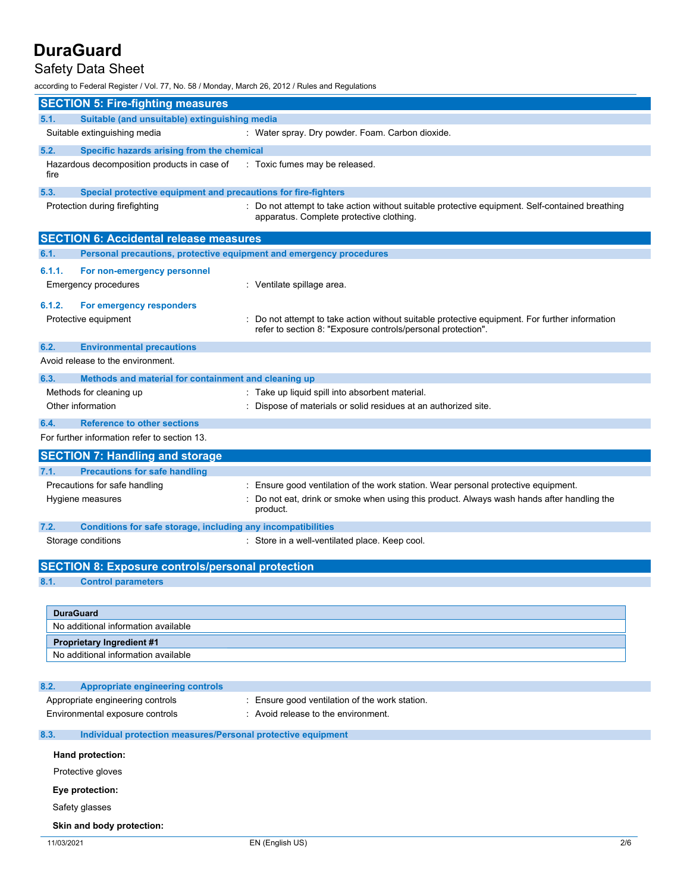### Safety Data Sheet

according to Federal Register / Vol. 77, No. 58 / Monday, March 26, 2012 / Rules and Regulations

|            | <b>SECTION 5: Fire-fighting measures</b>                            |                                                                                                                                                                                          |
|------------|---------------------------------------------------------------------|------------------------------------------------------------------------------------------------------------------------------------------------------------------------------------------|
| 5.1.       | Suitable (and unsuitable) extinguishing media                       |                                                                                                                                                                                          |
|            | Suitable extinguishing media                                        | : Water spray. Dry powder. Foam. Carbon dioxide.                                                                                                                                         |
| 5.2.       | Specific hazards arising from the chemical                          |                                                                                                                                                                                          |
| fire       | Hazardous decomposition products in case of                         | : Toxic fumes may be released.                                                                                                                                                           |
| 5.3.       | Special protective equipment and precautions for fire-fighters      |                                                                                                                                                                                          |
|            | Protection during firefighting                                      | : Do not attempt to take action without suitable protective equipment. Self-contained breathing<br>apparatus. Complete protective clothing.                                              |
|            | <b>SECTION 6: Accidental release measures</b>                       |                                                                                                                                                                                          |
| 6.1.       | Personal precautions, protective equipment and emergency procedures |                                                                                                                                                                                          |
| 6.1.1.     | For non-emergency personnel<br>Emergency procedures                 | : Ventilate spillage area.                                                                                                                                                               |
|            |                                                                     |                                                                                                                                                                                          |
| 6.1.2.     | For emergency responders<br>Protective equipment                    | Do not attempt to take action without suitable protective equipment. For further information<br>refer to section 8: "Exposure controls/personal protection".                             |
| 6.2.       | <b>Environmental precautions</b>                                    |                                                                                                                                                                                          |
|            | Avoid release to the environment.                                   |                                                                                                                                                                                          |
| 6.3.       | Methods and material for containment and cleaning up                |                                                                                                                                                                                          |
|            | Methods for cleaning up                                             | : Take up liquid spill into absorbent material.                                                                                                                                          |
|            | Other information                                                   | : Dispose of materials or solid residues at an authorized site.                                                                                                                          |
| 6.4.       | <b>Reference to other sections</b>                                  |                                                                                                                                                                                          |
|            | For further information refer to section 13.                        |                                                                                                                                                                                          |
|            | <b>SECTION 7: Handling and storage</b>                              |                                                                                                                                                                                          |
| 7.1.       | <b>Precautions for safe handling</b>                                |                                                                                                                                                                                          |
|            | Precautions for safe handling<br>Hygiene measures                   | Ensure good ventilation of the work station. Wear personal protective equipment.<br>Do not eat, drink or smoke when using this product. Always wash hands after handling the<br>product. |
| 7.2.       | Conditions for safe storage, including any incompatibilities        |                                                                                                                                                                                          |
|            | Storage conditions                                                  | : Store in a well-ventilated place. Keep cool.                                                                                                                                           |
|            | <b>SECTION 8: Exposure controls/personal protection</b>             |                                                                                                                                                                                          |
| 8.1.       | <b>Control parameters</b>                                           |                                                                                                                                                                                          |
|            |                                                                     |                                                                                                                                                                                          |
|            | <b>DuraGuard</b>                                                    |                                                                                                                                                                                          |
|            | No additional information available                                 |                                                                                                                                                                                          |
|            | <b>Proprietary Ingredient #1</b>                                    |                                                                                                                                                                                          |
|            | No additional information available                                 |                                                                                                                                                                                          |
| 8.2.       | <b>Appropriate engineering controls</b>                             |                                                                                                                                                                                          |
|            | Appropriate engineering controls                                    | : Ensure good ventilation of the work station.                                                                                                                                           |
|            | Environmental exposure controls                                     | : Avoid release to the environment.                                                                                                                                                      |
| 8.3.       | Individual protection measures/Personal protective equipment        |                                                                                                                                                                                          |
|            | Hand protection:                                                    |                                                                                                                                                                                          |
|            | Protective gloves                                                   |                                                                                                                                                                                          |
|            | Eye protection:                                                     |                                                                                                                                                                                          |
|            | Safety glasses                                                      |                                                                                                                                                                                          |
|            | Skin and body protection:                                           |                                                                                                                                                                                          |
| 11/03/2021 |                                                                     | EN (English US)<br>2/6                                                                                                                                                                   |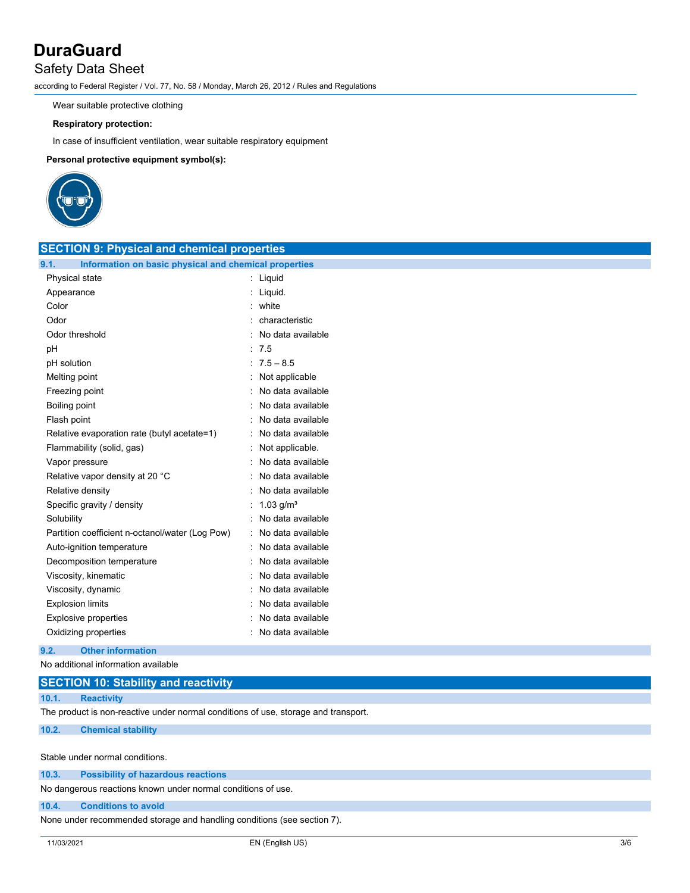### Safety Data Sheet

according to Federal Register / Vol. 77, No. 58 / Monday, March 26, 2012 / Rules and Regulations

Wear suitable protective clothing

#### **Respiratory protection:**

In case of insufficient ventilation, wear suitable respiratory equipment

**Personal protective equipment symbol(s):**



| <b>SECTION 9: Physical and chemical properties</b>            |                           |  |
|---------------------------------------------------------------|---------------------------|--|
| 9.1.<br>Information on basic physical and chemical properties |                           |  |
| Physical state                                                | : Liquid                  |  |
| Appearance                                                    | : Liquid.                 |  |
| Color                                                         | : white                   |  |
| Odor                                                          | characteristic            |  |
| Odor threshold                                                | : No data available       |  |
| pH                                                            | : 7.5                     |  |
| pH solution                                                   | $:7.5 - 8.5$              |  |
| Melting point                                                 | : Not applicable          |  |
| Freezing point                                                | : No data available       |  |
| Boiling point                                                 | : No data available       |  |
| Flash point                                                   | No data available         |  |
| Relative evaporation rate (butyl acetate=1)                   | : No data available       |  |
| Flammability (solid, gas)                                     | : Not applicable.         |  |
| Vapor pressure                                                | : No data available       |  |
| Relative vapor density at 20 °C                               | : No data available       |  |
| Relative density                                              | : No data available       |  |
| Specific gravity / density                                    | : $1.03$ g/m <sup>3</sup> |  |
| Solubility                                                    | : No data available       |  |
| Partition coefficient n-octanol/water (Log Pow)               | : No data available       |  |
| Auto-ignition temperature                                     | : No data available       |  |
| Decomposition temperature                                     | : No data available       |  |
| Viscosity, kinematic                                          | : No data available       |  |
| Viscosity, dynamic                                            | No data available         |  |
| <b>Explosion limits</b>                                       | No data available         |  |
| <b>Explosive properties</b>                                   | : No data available       |  |
| Oxidizing properties                                          | : No data available       |  |

### **9.2. Other information**

No additional information available

### **SECTION 10: Stability and reactivity**

**10.1. Reactivity**

The product is non-reactive under normal conditions of use, storage and transport.

#### **10.2. Chemical stability**

Stable under normal conditions.

| 10.3.<br><b>Possibility of hazardous reactions</b> |  |
|----------------------------------------------------|--|
|----------------------------------------------------|--|

No dangerous reactions known under normal conditions of use.

#### **10.4. Conditions to avoid**

None under recommended storage and handling conditions (see section 7).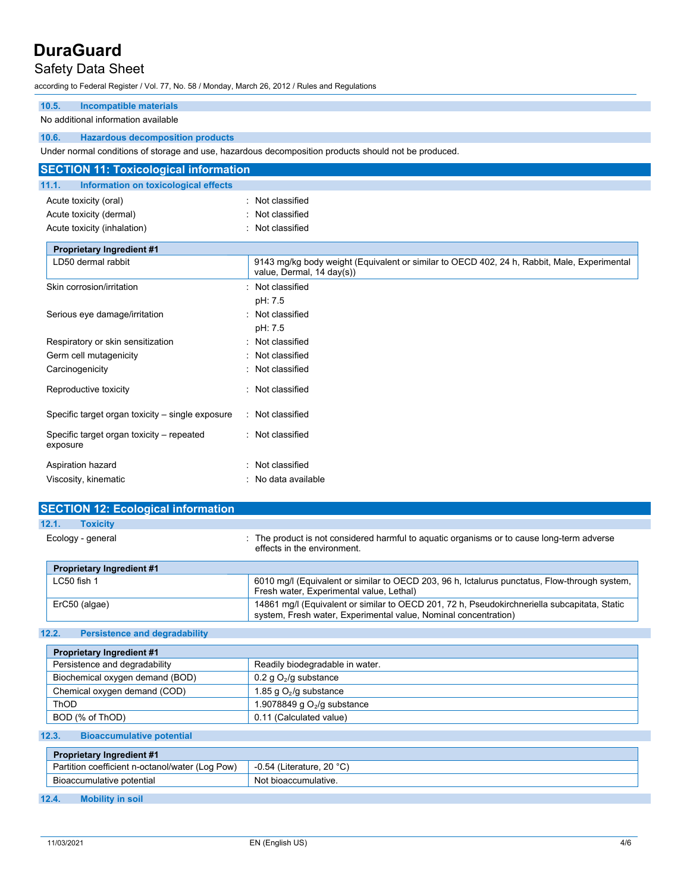### Safety Data Sheet

according to Federal Register / Vol. 77, No. 58 / Monday, March 26, 2012 / Rules and Regulations

### **10.5. Incompatible materials**

### No additional information available

### **10.6. Hazardous decomposition products**

Under normal conditions of storage and use, hazardous decomposition products should not be produced.

| <b>SECTION 11: Toxicological information</b>          |                                                                                                                          |  |
|-------------------------------------------------------|--------------------------------------------------------------------------------------------------------------------------|--|
| 11.1.<br>Information on toxicological effects         |                                                                                                                          |  |
| Acute toxicity (oral)                                 | Not classified                                                                                                           |  |
| Acute toxicity (dermal)                               | Not classified                                                                                                           |  |
| Acute toxicity (inhalation)                           | Not classified                                                                                                           |  |
|                                                       |                                                                                                                          |  |
| <b>Proprietary Ingredient #1</b>                      |                                                                                                                          |  |
| LD50 dermal rabbit                                    | 9143 mg/kg body weight (Equivalent or similar to OECD 402, 24 h, Rabbit, Male, Experimental<br>value, Dermal, 14 day(s)) |  |
| Skin corrosion/irritation                             | Not classified                                                                                                           |  |
|                                                       | pH: 7.5                                                                                                                  |  |
| Serious eye damage/irritation                         | Not classified                                                                                                           |  |
|                                                       | pH: 7.5                                                                                                                  |  |
| Respiratory or skin sensitization                     | Not classified                                                                                                           |  |
| Germ cell mutagenicity                                | Not classified                                                                                                           |  |
| Carcinogenicity                                       | Not classified                                                                                                           |  |
| Reproductive toxicity                                 | Not classified                                                                                                           |  |
|                                                       |                                                                                                                          |  |
| Specific target organ toxicity – single exposure      | Not classified                                                                                                           |  |
| Specific target organ toxicity – repeated<br>exposure | : Not classified                                                                                                         |  |
| Aspiration hazard                                     | Not classified                                                                                                           |  |
| Viscosity, kinematic                                  | : No data available                                                                                                      |  |

| <b>SECTION 12: Ecological information</b> |                                                                                                                                                                 |
|-------------------------------------------|-----------------------------------------------------------------------------------------------------------------------------------------------------------------|
| 12.1.<br><b>Toxicity</b>                  |                                                                                                                                                                 |
| Ecology - general                         | : The product is not considered harmful to aquatic organisms or to cause long-term adverse<br>effects in the environment.                                       |
| <b>Proprietary Ingredient #1</b>          |                                                                                                                                                                 |
| $LC50$ fish 1                             | 6010 mg/l (Equivalent or similar to OECD 203, 96 h, Ictalurus punctatus, Flow-through system,<br>Fresh water, Experimental value, Lethal)                       |
| ErC50 (algae)                             | 14861 mg/l (Equivalent or similar to OECD 201, 72 h, Pseudokirchneriella subcapitata, Static<br>system, Fresh water, Experimental value, Nominal concentration) |

### **12.2. Persistence and degradability**

| <b>Proprietary Ingredient #1</b> |                                 |
|----------------------------------|---------------------------------|
| Persistence and degradability    | Readily biodegradable in water. |
| Biochemical oxygen demand (BOD)  | 0.2 g $O_2$ /g substance        |
| Chemical oxygen demand (COD)     | 1.85 g $O_2$ /g substance       |
| ThOD                             | 1.9078849 q $O2/q$ substance    |
| BOD (% of ThOD)                  | 0.11 (Calculated value)         |

### **12.3. Bioaccumulative potential**

| <b>Proprietary Ingredient #1</b>                |                                  |
|-------------------------------------------------|----------------------------------|
| Partition coefficient n-octanol/water (Log Pow) | $\sim$ -0.54 (Literature, 20 °C) |
| Bioaccumulative potential                       | Not bioaccumulative.             |

#### **12.4. Mobility in soil**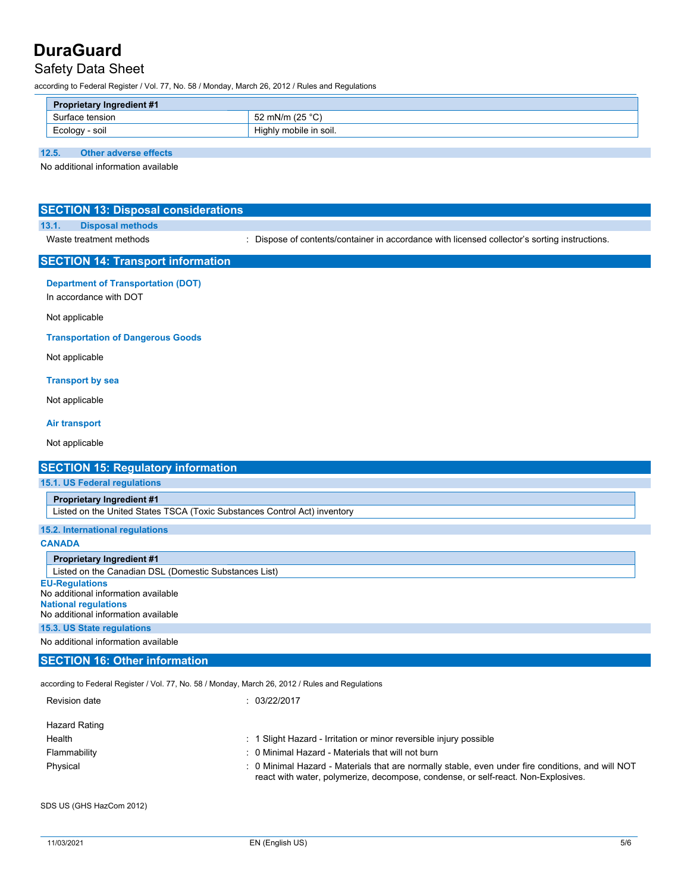### Safety Data Sheet

according to Federal Register / Vol. 77, No. 58 / Monday, March 26, 2012 / Rules and Regulations

| <b>Proprietary Ingredient #1</b> |                        |
|----------------------------------|------------------------|
| Surface tension                  | 52 mN/m (25 °C)        |
| Ecology - soil                   | Highly mobile in soil. |

### **12.5. Other adverse effects**

No additional information available

| <b>SECTION 13: Disposal considerations</b>                                                                                                                                                                             |                                                                                               |
|------------------------------------------------------------------------------------------------------------------------------------------------------------------------------------------------------------------------|-----------------------------------------------------------------------------------------------|
| 13.1.<br><b>Disposal methods</b><br>Waste treatment methods                                                                                                                                                            | : Dispose of contents/container in accordance with licensed collector's sorting instructions. |
|                                                                                                                                                                                                                        |                                                                                               |
| <b>SECTION 14: Transport information</b>                                                                                                                                                                               |                                                                                               |
| <b>Department of Transportation (DOT)</b><br>In accordance with DOT                                                                                                                                                    |                                                                                               |
| Not applicable                                                                                                                                                                                                         |                                                                                               |
| <b>Transportation of Dangerous Goods</b>                                                                                                                                                                               |                                                                                               |
| Not applicable                                                                                                                                                                                                         |                                                                                               |
| <b>Transport by sea</b>                                                                                                                                                                                                |                                                                                               |
| Not applicable                                                                                                                                                                                                         |                                                                                               |
| <b>Air transport</b>                                                                                                                                                                                                   |                                                                                               |
| Not applicable                                                                                                                                                                                                         |                                                                                               |
| <b>SECTION 15: Regulatory information</b>                                                                                                                                                                              |                                                                                               |
|                                                                                                                                                                                                                        |                                                                                               |
|                                                                                                                                                                                                                        |                                                                                               |
| <b>Proprietary Ingredient #1</b>                                                                                                                                                                                       |                                                                                               |
| Listed on the United States TSCA (Toxic Substances Control Act) inventory                                                                                                                                              |                                                                                               |
|                                                                                                                                                                                                                        |                                                                                               |
|                                                                                                                                                                                                                        |                                                                                               |
| <b>Proprietary Ingredient #1</b>                                                                                                                                                                                       |                                                                                               |
| 15.1. US Federal regulations<br>15.2. International regulations<br><b>CANADA</b><br>Listed on the Canadian DSL (Domestic Substances List)                                                                              |                                                                                               |
| <b>EU-Regulations</b>                                                                                                                                                                                                  |                                                                                               |
|                                                                                                                                                                                                                        |                                                                                               |
|                                                                                                                                                                                                                        |                                                                                               |
|                                                                                                                                                                                                                        |                                                                                               |
|                                                                                                                                                                                                                        |                                                                                               |
| No additional information available<br><b>National regulations</b><br>No additional information available<br>15.3. US State regulations<br>No additional information available<br><b>SECTION 16: Other information</b> |                                                                                               |
| according to Federal Register / Vol. 77, No. 58 / Monday, March 26, 2012 / Rules and Regulations                                                                                                                       |                                                                                               |

| Hazard Rating |                                                                                                                                                                                        |
|---------------|----------------------------------------------------------------------------------------------------------------------------------------------------------------------------------------|
| Health        | : 1 Slight Hazard - Irritation or minor reversible injury possible                                                                                                                     |
| Flammability  | : 0 Minimal Hazard - Materials that will not burn                                                                                                                                      |
| Physical      | : 0 Minimal Hazard - Materials that are normally stable, even under fire conditions, and will NOT<br>react with water, polymerize, decompose, condense, or self-react. Non-Explosives. |

SDS US (GHS HazCom 2012)